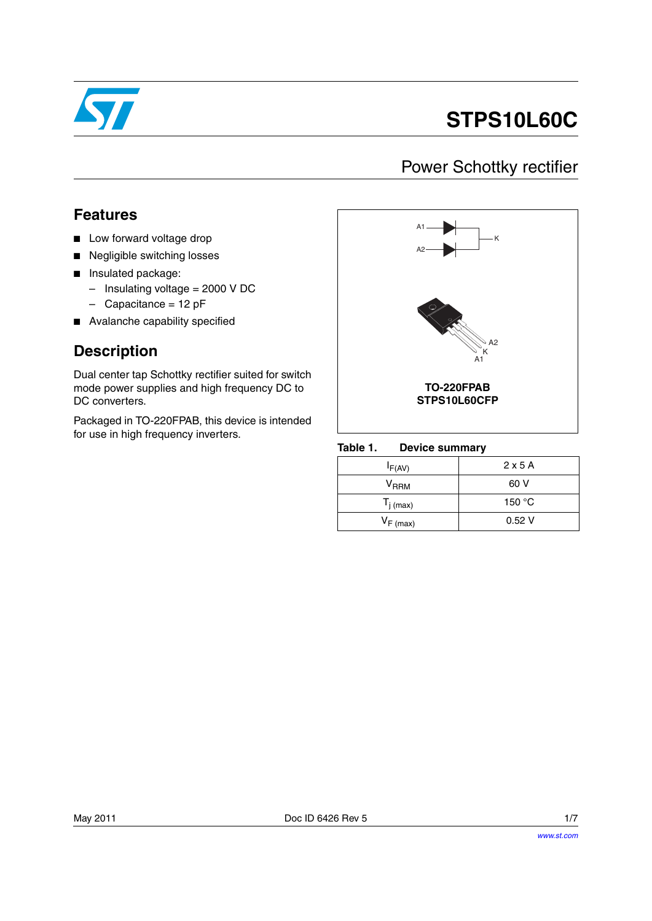

# **STPS10L60C**

## Power Schottky rectifier

### **Features**

- Low forward voltage drop
- Negligible switching losses
- Insulated package:
	- Insulating voltage = 2000 V DC
	- $-$  Capacitance = 12 pF
- Avalanche capability specified

### **Description**

Dual center tap Schottky rectifier suited for switch mode power supplies and high frequency DC to DC converters.

Packaged in TO-220FPAB, this device is intended for use in high frequency inverters.<br>Table 1.



### **Device summary**

| $I_{F(AV)}$           | 2x5A   |
|-----------------------|--------|
| V <sub>RRM</sub>      | 60 V   |
| $T_{j \text{ (max)}}$ | 150 °C |
| $V_{F (max)}$         | 0.52V  |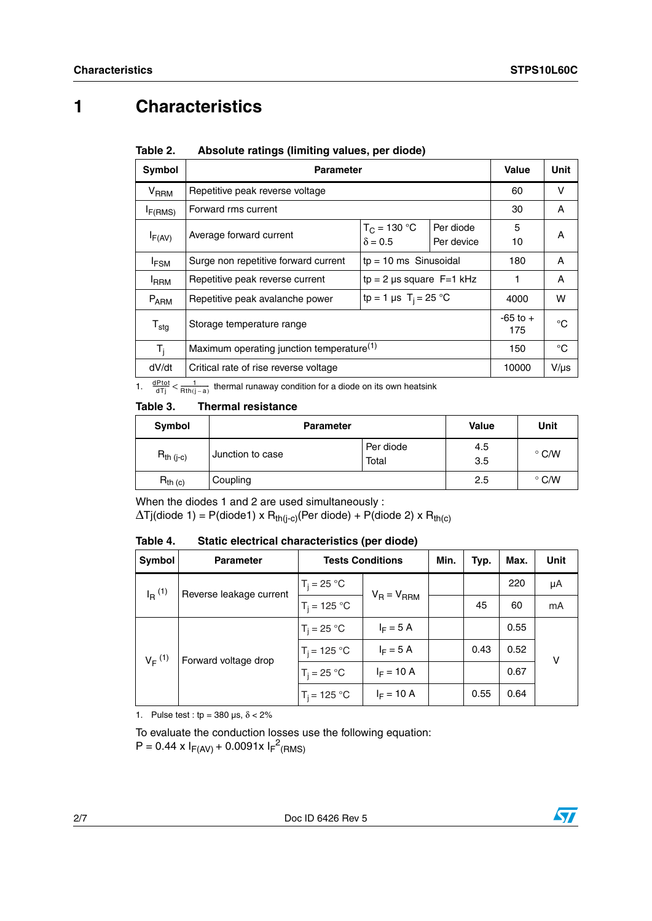## **1 Characteristics**

| <b>Parameter</b>                                                    |                                                             |      |                         | Unit      |
|---------------------------------------------------------------------|-------------------------------------------------------------|------|-------------------------|-----------|
| Repetitive peak reverse voltage                                     |                                                             |      | 60                      | v         |
| Forward rms current                                                 |                                                             |      | 30                      | A         |
| Average forward current                                             | $T_C = 130 °C$<br>Per diode<br>$\delta = 0.5$<br>Per device |      | 5<br>10                 | A         |
| Surge non repetitive forward current                                |                                                             | 180  | A                       |           |
| Repetitive peak reverse current                                     | $tp = 2$ µs square $F = 1$ kHz                              |      | 1                       | A         |
| tp = 1 µs T <sub>i</sub> = 25 °C<br>Repetitive peak avalanche power |                                                             | 4000 | w                       |           |
| Storage temperature range                                           |                                                             |      | $-65$ to $+$<br>175     | °C        |
| Maximum operating junction temperature <sup>(1)</sup>               |                                                             |      | 150                     | °C        |
| Critical rate of rise reverse voltage                               |                                                             |      | 10000                   | $V/\mu s$ |
|                                                                     | $\overline{a}$                                              |      | $tp = 10$ ms Sinusoidal | Value     |

#### Table 2. Absolute ratings (limiting values, per diode)

1.  $\frac{dPtot}{dTj} < \frac{1}{Rth(j-a)}$  thermal runaway condition for a diode on its own heatsink

#### Table 3. **Thermal resistance**

| Symbol         | <b>Parameter</b> |                    | <b>Value</b> | Unit          |
|----------------|------------------|--------------------|--------------|---------------|
| $R_{th (j-c)}$ | Junction to case | Per diode<br>Total | 4.5<br>3.5   | $\degree$ C/W |
| $R_{th}$ (c)   | Coupling         |                    | 2.5          | $\degree$ C/W |

When the diodes 1 and 2 are used simultaneously :

 $\Delta T$ j(diode 1) = P(diode1) x R<sub>th(j-c)</sub>(Per diode) + P(diode 2) x R<sub>th(c)</sub>

Table 4. Static electrical characteristics (per diode)

| Symbol                                          | <b>Parameter</b> | <b>Tests Conditions</b> |                 | Min. | Typ. | Max. | <b>Unit</b> |
|-------------------------------------------------|------------------|-------------------------|-----------------|------|------|------|-------------|
| $I_R$ <sup>(1)</sup><br>Reverse leakage current |                  | $T_i = 25 °C$           | $V_R = V_{RRM}$ |      |      | 220  | μA          |
|                                                 | $T_i = 125 °C$   |                         |                 | 45   | 60   | mA   |             |
| $V_F^{(1)}$<br>Forward voltage drop             | $T_i = 25 °C$    | $I_F = 5 A$             |                 |      | 0.55 |      |             |
|                                                 | $T_i = 125 °C$   | $I_F = 5 A$             |                 | 0.43 | 0.52 | v    |             |
|                                                 |                  | $T_i = 25 °C$           | $I_F = 10 A$    |      |      | 0.67 |             |
|                                                 |                  | $T_i = 125 °C$          | $I_F = 10 A$    |      | 0.55 | 0.64 |             |

1. Pulse test : tp =  $380 \,\mu s$ ,  $\delta < 2\%$ 

To evaluate the conduction losses use the following equation:  $P = 0.44 \times I_{F(AV)} + 0.0091 \times I_{F}^{2}$ (RMS)

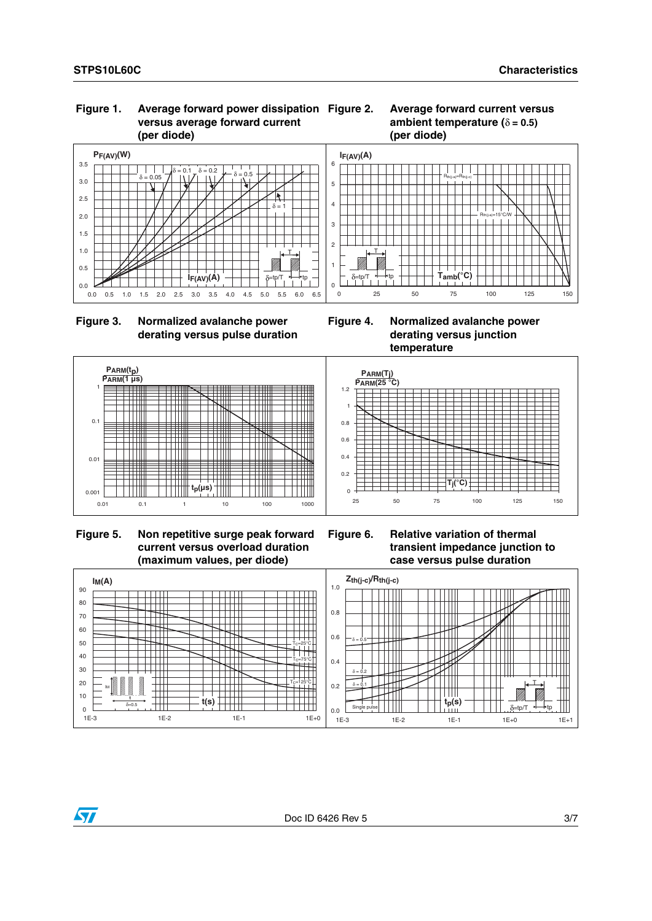### **Figure 1. Average forward power dissipation versus average forward current (per diode)**







**Figure 4. Normalized avalanche power derating versus junction temperature**



 **Figure 5. Non repetitive surge peak forward current versus overload duration (maximum values, per diode)**





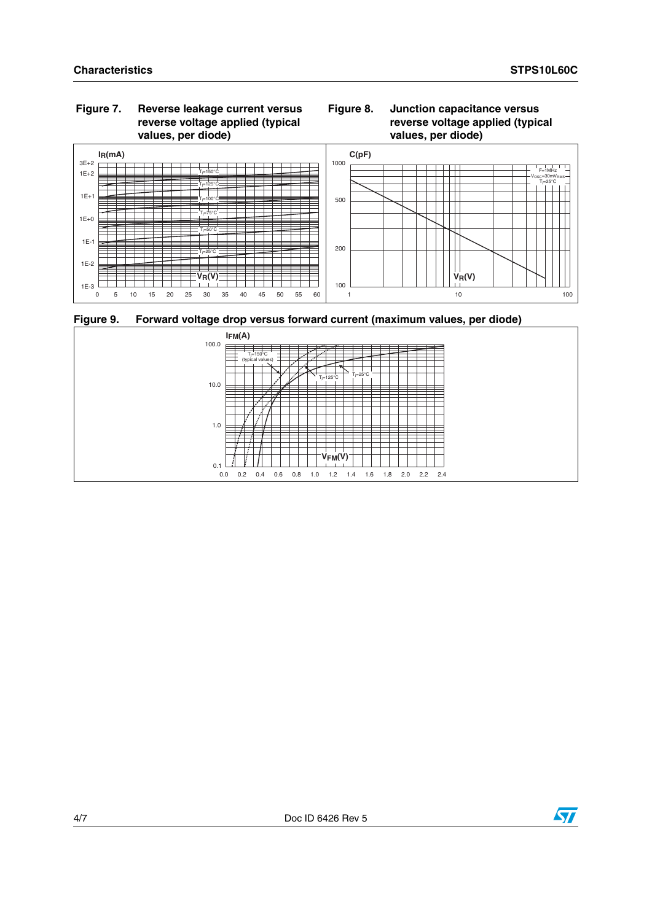### **Figure 7. Reverse leakage current versus reverse voltage applied (typical values, per diode)**





**Figure 9. Forward voltage drop versus forward current (maximum values, per diode)**



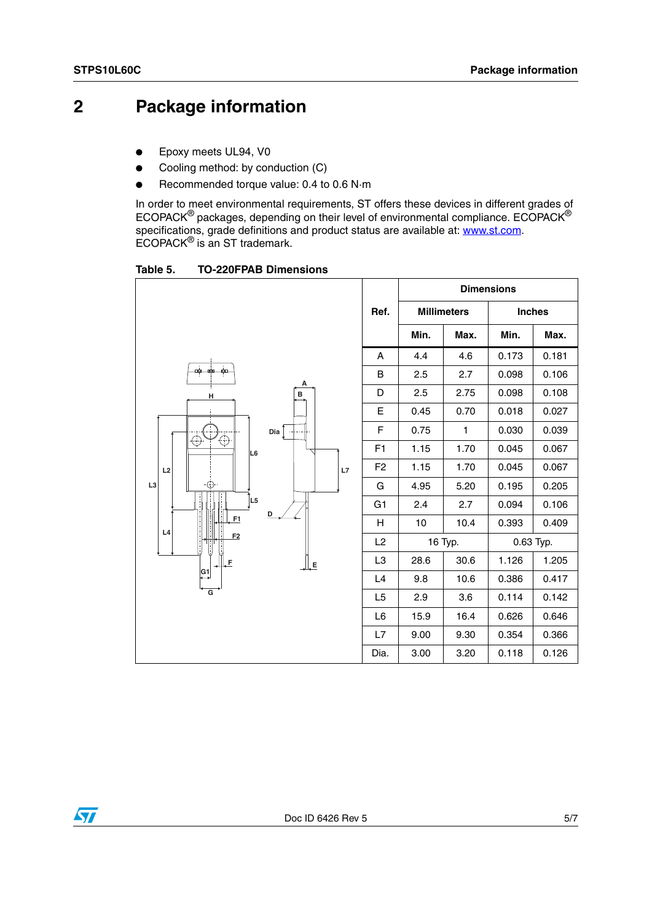## **2 Package information**

- Epoxy meets UL94, V0
- Cooling method: by conduction (C)
- Recommended torque value: 0.4 to 0.6 N·m

In order to meet environmental requirements, ST offers these devices in different grades of ECOPACK $^{\circledR}$  packages, depending on their level of environmental compliance. ECOPACK $^{\circledR}$ specifications, grade definitions and product status are available at: **www.st.com**. ECOPACK® is an ST trademark.

<span id="page-4-0"></span>Table 5. **TO-220FPAB Dimensions** 

|                                        |                | <b>Dimensions</b>  |      |               |       |
|----------------------------------------|----------------|--------------------|------|---------------|-------|
|                                        | Ref.           | <b>Millimeters</b> |      | <b>Inches</b> |       |
|                                        |                | Min.               | Max. | Min.          | Max.  |
|                                        | A              | 4.4                | 4.6  | 0.173         | 0.181 |
| $\frac{1}{\min_i}$<br>÷,<br>لشه<br>А   | B              | 2.5                | 2.7  | 0.098         | 0.106 |
| Ţ<br>в<br>н                            | D              | 2.5                | 2.75 | 0.098         | 0.108 |
|                                        | Е              | 0.45               | 0.70 | 0.018         | 0.027 |
| Dia $\lceil \cdot \rceil$              | F              | 0.75               | 1    | 0.030         | 0.039 |
| ↔<br>ŧ<br>L <sub>6</sub>               | F <sub>1</sub> | 1.15               | 1.70 | 0.045         | 0.067 |
| L2<br>L7                               | F <sub>2</sub> | 1.15               | 1.70 | 0.045         | 0.067 |
| L <sub>3</sub><br>-⊕                   | G              | 4.95               | 5.20 | 0.195         | 0.205 |
| L <sub>5</sub>                         | G <sub>1</sub> | 2.4                | 2.7  | 0.094         | 0.106 |
| D<br>F1<br>L4                          | H              | 10                 | 10.4 | 0.393         | 0.409 |
| F <sub>2</sub>                         | L2             | 16 Typ.            |      | 0.63 Typ.     |       |
| II. F<br>ĻE                            | L <sub>3</sub> | 28.6               | 30.6 | 1.126         | 1.205 |
| $\overset{\text{G1}}{\leftrightarrow}$ | L4             | 9.8                | 10.6 | 0.386         | 0.417 |
| $\overline{\mathsf{G}}$                | L5             | 2.9                | 3.6  | 0.114         | 0.142 |
|                                        | L <sub>6</sub> | 15.9               | 16.4 | 0.626         | 0.646 |
|                                        | L7             | 9.00               | 9.30 | 0.354         | 0.366 |
|                                        | Dia.           | 3.00               | 3.20 | 0.118         | 0.126 |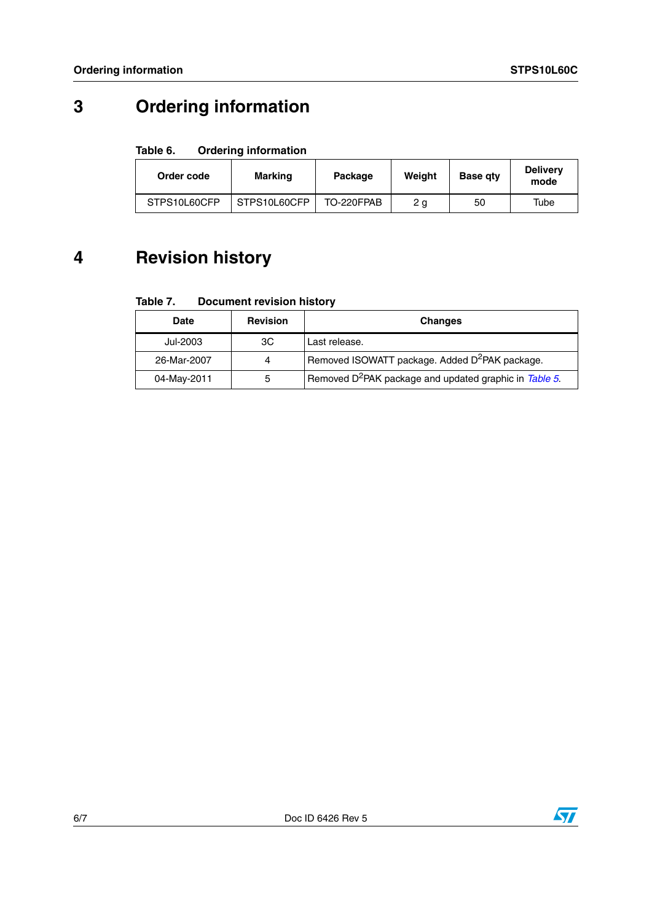## **3 Ordering information**

#### Table 6. **Ordering information**

| Order code   | <b>Marking</b> | Package    | Weight | <b>Base gty</b> | <b>Delivery</b><br>mode |
|--------------|----------------|------------|--------|-----------------|-------------------------|
| STPS10L60CFP | STPS10L60CFP   | TO-220FPAB | 2 a    | 50              | Tube                    |

## **4 Revision history**

#### Table 7. **Document revision history**

| <b>Date</b> | <b>Revision</b> | <b>Changes</b>                                                     |
|-------------|-----------------|--------------------------------------------------------------------|
| Jul-2003    | ЗC              | Last release.                                                      |
| 26-Mar-2007 | 4               | Removed ISOWATT package. Added D <sup>2</sup> PAK package.         |
| 04-May-2011 | 5               | Removed D <sup>2</sup> PAK package and updated graphic in Table 5. |